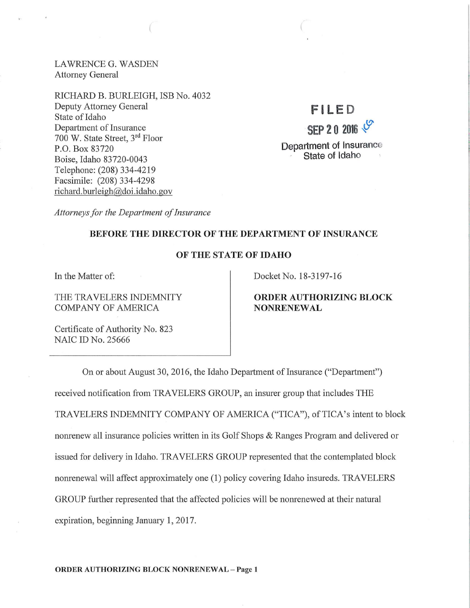LAWRENCE G. WASDEN Attorney General

RICHARD B. BURLEIGH, ISB No. 4032 Deputy Attorney General State of Idaho Department of Insurance 700 W. State Street, 3rd Floor P.O. Box 83720 Boise, Idaho 83720-0043 Telephone: (208) 334-4219 Facsimile: (208) 334-4298 richard. burleigh@doi .idaho. gov

F l LED  $SEP 20 2016 1$ Department of Insurance State of Idaho

*Attorneys for the Department of Insurance* 

#### BEFORE THE DIRECTOR OF THE DEPARTMENT OF INSURANCE

# OF THE STATE OF IDAHO

In the Matter of:

THE TRAVELERS INDEMNITY COMPANY OF AMERICA

Docket No. 18-3197-16

# ORDER AUTHORIZING BLOCK NONRENEWAL

Certificate of Authority No. 823 NAIC ID No. 25666

On or about August 30, 2016, the Idaho Department of Insurance ("Department") received notification from TRAVELERS GROUP, an insurer group that includes THE TRAVELERS INDEMNITY COMPANY OF AMERICA ("TICA"), of TICA's intent to block nonrenew all insurance policies written in its Golf Shops & Ranges Program and delivered or issued for delivery in Idaho. TRAVELERS GROUP represented that the contemplated block nonrenewal will affect approximately one (1) policy covering Idaho insureds. TRAVELERS GROUP further represented that the affected policies will be nonrenewed at their natural expiration, beginning January 1, 2017.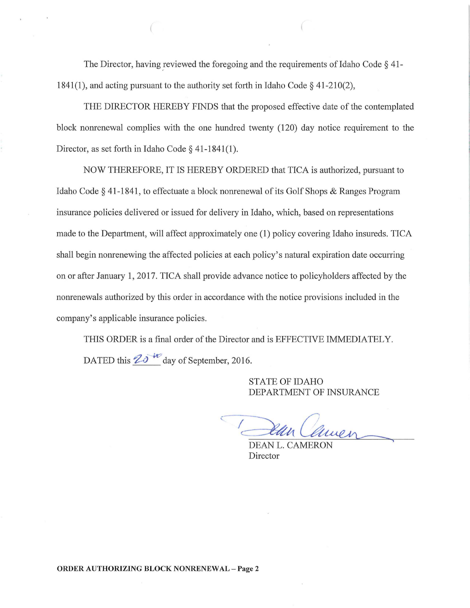The Director, having reviewed the foregoing and the requirements of Idaho Code  $\S$  41-1841(1), and acting pursuant to the authority set forth in Idaho Code  $\S$  41-210(2),

THE DIRECTOR HEREBY FINDS that the proposed effective date of the contemplated block nonrenewal complies with the one hundred twenty (120) day notice requirement to the Director, as set forth in Idaho Code  $\S$  41-1841(1).

NOW THEREFORE, IT IS HEREBY ORDERED that TICA is authorized, pursuant to Idaho Code § 41-1841, to effectuate a block nonrenewal of its Golf Shops & Ranges Program insurance policies delivered or issued for delivery in Idaho, which, based on representations made to the Department, will affect approximately one (1) policy covering Idaho insureds. TICA shall begin nonrenewing the affected policies at each policy's natural expiration date occurring on or after January 1, 2017. TICA shall provide advance notice to policyholders affected by the nonrenewals authorized by this order in accordance with the notice provisions included in the company's applicable insurance policies.

THIS ORDER is a final order of the Director and is EFFECTIVE IMMEDIATELY. DATED this  $2*\delta*<sup>40</sup>$  day of September, 2016.

> STATE OF IDAHO DEPARTMENT OF INSURANCE

Ban Camen ~

DEAN L. CAMERON Director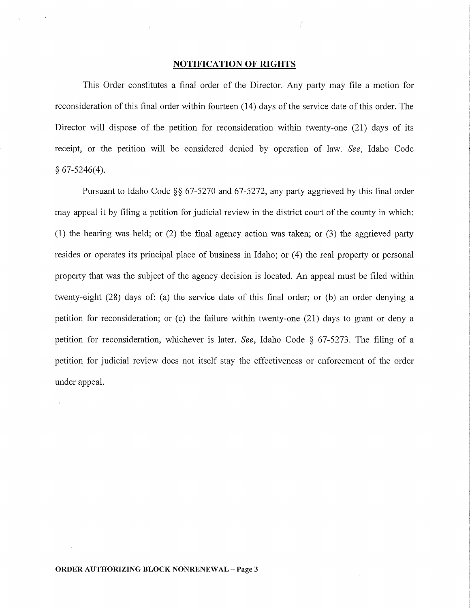### **NOTIFICATION OF RIGHTS**

This Order constitutes a final order of the Director. Any party may file a motion for reconsideration of this final order within fourteen (14) days of the service date of this order. The Director will dispose of the petition for reconsideration within twenty-one (21) days of its receipt, or the petition will be considered denied by operation of law. *See,* Idaho Code  $§ 67-5246(4).$ 

Pursuant to Idaho Code  $\S$ § 67-5270 and 67-5272, any party aggrieved by this final order may appeal it by filing a petition for judicial review in the district court of the county in which: (1) the hearing was held; or  $(2)$  the final agency action was taken; or  $(3)$  the aggrieved party resides or operates its principal place of business in Idaho; or  $(4)$  the real property or personal property that was the subject of the agency decision is located. An appeal must be filed within twenty-eight (28) days of: (a) the service date of this final order; or (b) an order denying a petition for reconsideration; or (c) the failure within twenty-one (21) days to grant or deny a petition for reconsideration, whichever is later. *See,* Idaho Code § 67-5273. The filing of a petition for judicial review does not itself stay the effectiveness or enforcement of the order under appeal.